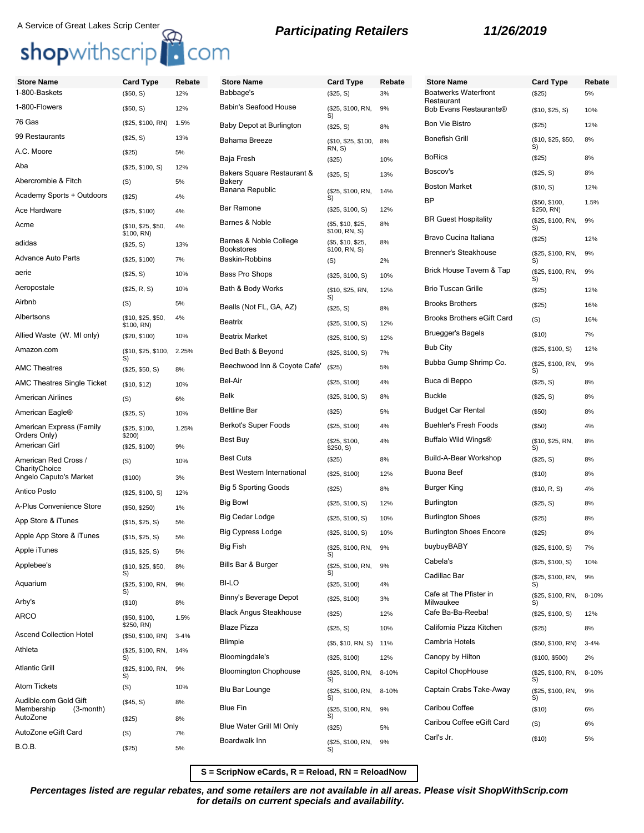## A Service of Great Lakes Scrip Center<br>**Participating Retailers 11/26/2019**

## shopwithscrip<sup>1</sup> com

## **Store Name Card Type Rebate** 1-800-Baskets (\$50, S) 12% 1-800-Flowers (\$50, S) 12% 76 Gas (\$25, \$100, RN) 1.5% 99 Restaurants (\$25, S) 13% A.C. Moore (\$25) 5% Aba (\$25, \$100, S) 12% Abercrombie & Fitch (S) 5% Academy Sports + Outdoors (\$25) 4% Ace Hardware (\$25, \$100) 4% Acme (\$10, \$25, \$50, \$100, RN) 4% adidas (\$25, S) 13% Advance Auto Parts (\$25, \$100) 7% aerie (\$25, S) 10% Aeropostale (\$25, R, S) 10% Airbnb (S) 5% Albertsons (\$10, \$25, \$50, \$100, RN) 4% Allied Waste (W. MI only) (\$20, \$100) 10% Amazon.com (\$10, \$25, \$100, S) 2.25% AMC Theatres (\$25, \$50, S) 8% AMC Theatres Single Ticket (\$10, \$12) 10% American Airlines (S) 6% American Eagle® (\$25, S) 10% American Express (Family Orders Only) (\$25, \$100, \$200) 1.25% American Girl (\$25, \$100) 9% American Red Cross / **CharityChoice** (S) 10%

Angelo Caputo's Market (\$100) 3% Antico Posto (\$25, \$100, S) 12% A-Plus Convenience Store (\$50, \$250) 1% App Store & iTunes (\$15, \$25, S) 5% Apple App Store & iTunes (\$15, \$25, S) 5% Apple iTunes (\$15, \$25, S) 5% Applebee's (\$10, \$25, \$50,

Aquarium (\$25, \$100, RN,

Arby's (\$10) 8% ARCO (\$50, \$100,

Ascend Collection Hotel (\$50, \$100, RN) 3-4% Athleta (\$25, \$100, RN,

Atom Tickets (S) 10%

AutoZone (\$25) 8% AutoZone eGift Card (S) 7%  $B.O.B.$  (\$25) 5%

Atlantic Grill (\$25, \$100, RN,

Audible.com Gold Gift<br>Membership (3-month)

Membership

S)

S)

 $\widetilde{\mathbf{S}}$ 

S)

 $$250, RN)$ 

(\$45, S) 8%

8%

9%

1.5%

14%

9%

| <b>Store Name</b>                           | <b>Card Type</b>                   | Rebate |
|---------------------------------------------|------------------------------------|--------|
| Babbage's                                   | (\$25, S)                          | 3%     |
| <b>Babin's Seafood House</b>                | (\$25, \$100, RN,<br>S)            | 9%     |
| Baby Depot at Burlington                    | $(\$25, S)$                        | 8%     |
| Bahama Breeze                               | (\$10, \$25, \$100,<br>RN, S)      | 8%     |
| Baja Fresh                                  | (S25)                              | 10%    |
| Bakers Square Restaurant &<br>Bakery        | (\$25, S)                          | 13%    |
| Banana Republic                             | (\$25, \$100, RN,<br>S)            | 14%    |
| <b>Bar Ramone</b>                           | (\$25, \$100, S)                   | 12%    |
| Barnes & Noble                              | (\$5, \$10, \$25,<br>\$100, RN, S) | 8%     |
| Barnes & Noble College<br><b>Bookstores</b> | (\$5, \$10, \$25,<br>\$100, RN, S) | 8%     |
| Baskin-Robbins                              | (S)                                | 2%     |
| Bass Pro Shops                              | (\$25, \$100, S)                   | 10%    |
| Bath & Body Works                           | (\$10, \$25, RN,<br>S)             | 12%    |
| Bealls (Not FL, GA, AZ)                     | $(\$25, S)$                        | 8%     |
| Beatrix                                     | (\$25, \$100, S)                   | 12%    |
| <b>Beatrix Market</b>                       | (\$25, \$100, S)                   | 12%    |
| Bed Bath & Beyond                           | (\$25, \$100, S)                   | 7%     |
| Beechwood Inn & Coyote Cafe'                | (\$25)                             | 5%     |
| Bel-Air                                     | (\$25, \$100)                      | 4%     |
| Belk                                        | (\$25, \$100, S)                   | 8%     |
| <b>Beltline Bar</b>                         | (\$25)                             | 5%     |
| Berkot's Super Foods                        | (\$25, \$100)                      | 4%     |
| Best Buy                                    | (\$25, \$100,<br>\$250, S)         | 4%     |
| <b>Best Cuts</b>                            | (\$25)                             | 8%     |
| Best Western International                  | (\$25, \$100)                      | 12%    |
| <b>Big 5 Sporting Goods</b>                 | (\$25)                             | 8%     |
| Big Bowl                                    | (\$25, \$100, S)                   | 12%    |
| Big Cedar Lodge                             | (\$25, \$100, S)                   | 10%    |
| <b>Big Cypress Lodge</b>                    | (\$25, \$100, S)                   | 10%    |
| Big Fish                                    | (\$25, \$100, RN,<br>S)            | 9%     |
| Bills Bar & Burger                          | (\$25, \$100, RN,<br>S)            | 9%     |
| BI-LO                                       | (\$25, \$100)                      | 4%     |
| Binny's Beverage Depot                      | (\$25, \$100)                      | 3%     |
| <b>Black Angus Steakhouse</b>               | (\$25)                             | 12%    |
| <b>Blaze Pizza</b>                          | (\$25, S)                          | 10%    |
| Blimpie                                     | (\$5, \$10, RN, S)                 | 11%    |
| Bloomingdale's                              | (\$25, \$100)                      | 12%    |
| <b>Bloomington Chophouse</b>                | (\$25, \$100, RN,<br>S)            | 8-10%  |
| Blu Bar Lounge                              | (\$25, \$100, RN,<br>S)            | 8-10%  |
| <b>Blue Fin</b>                             | (\$25, \$100, RN,<br>S)            | 9%     |
| Blue Water Grill MI Only                    | (\$25)                             | 5%     |
| Boardwalk Inn                               | (\$25, \$100, RN,                  | 9%     |

## **Store Name Card Type Rebate** Boatwerks Waterfront **Restaurant** (\$25) 5% Bob Evans Restaurants® (\$10, \$25, S) 10% Bon Vie Bistro (\$25) 12% Bonefish Grill (\$10, \$25, \$50, S) 8% BoRics (\$25) 8% Boscov's (\$25, S) 8% Boston Market (\$10, S) 12% BP (\$50, \$100, \$250, RN) 1.5% **BR Guest Hospitality**  $($25, $100, RN, S)$ 9% Bravo Cucina Italiana (\$25) 12% Brenner's Steakhouse (\$25, \$100, RN, S) 9% Brick House Tavern & Tap (\$25, \$100, RN,<br>S) 9% Brio Tuscan Grille (\$25) 12% Brooks Brothers (\$25) 16% Brooks Brothers eGift Card (S) 16% Bruegger's Bagels (\$10) 7% Bub City (\$25, \$100, S) 12% Bubba Gump Shrimp Co. (\$25, \$100, RN, S) 9% Buca di Beppo (\$25, S) 8% Buckle (\$25, S) 8% Budget Car Rental (\$50) 8% Buehler's Fresh Foods (\$50) 4% Buffalo Wild Wings® (\$10, \$25, RN, S) 8% Build-A-Bear Workshop (\$25, S) 8% Buona Beef (\$10) 8% Burger King (\$10, R, S) 4% Burlington (\$25, S) 8% Burlington Shoes (\$25) 8% Burlington Shoes Encore (\$25) 8% buybuyBABY (\$25, \$100, S) 7% Cabela's (\$25, \$100, S) 10% Cadillac Bar (\$25, \$100, RN, S) 9% Cafe at The Pfister in Milwaukee (\$25, \$100, RN, S) 8-10% Cafe Ba-Ba-Reeba! (\$25, \$100, S) 12% California Pizza Kitchen (\$25) 8% Cambria Hotels (\$50, \$100, RN) 3-4% Canopy by Hilton (\$100, \$500) 2% Capitol ChopHouse  $($25, $100, RN, S)$ 8-10% Captain Crabs Take-Away (\$25, \$100, RN, S) 9% Caribou Coffee (\$10) 6% Caribou Coffee eGift Card (S) 6% Carl's Jr. (\$10) 5%

**S = ScripNow eCards, R = Reload, RN = ReloadNow**

S)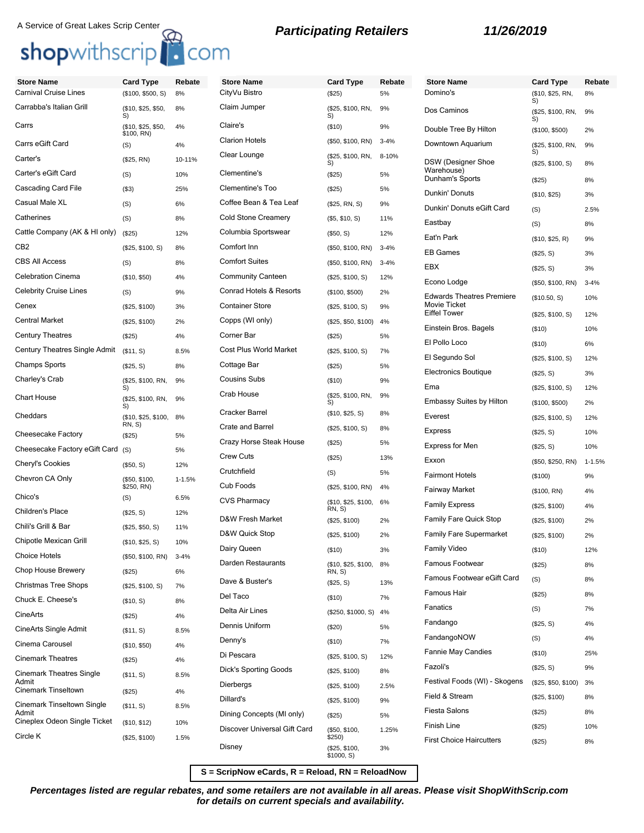# A Service of Great Lakes Scrip Center<br> **Shop**withscrip<sup>1</sup> **C**OM<br> **Shop**withscrip<sup>1</sup> **COM**

| <b>Store Name</b>                   | <b>Card Type</b>                 | Rebate     | <b>Store Name</b>             | <b>Card Type</b>                     | Rebate   | <b>Store Name</b>                | <b>Card Type</b>              | Rebate     |
|-------------------------------------|----------------------------------|------------|-------------------------------|--------------------------------------|----------|----------------------------------|-------------------------------|------------|
| <b>Carnival Cruise Lines</b>        | (\$100, \$500, S)                | 8%         | CityVu Bistro                 | (\$25)                               | 5%       | Domino's                         | (\$10, \$25, RN,              | 8%         |
| Carrabba's Italian Grill            | (\$10, \$25, \$50,<br>S)         | 8%         | Claim Jumper                  | (\$25, \$100, RN,<br>S)              | 9%       | Dos Caminos                      | S)<br>(\$25, \$100, RN,<br>S) | 9%         |
| Carrs                               | (\$10, \$25, \$50,<br>\$100, RN) | 4%         | Claire's                      | (\$10)                               | 9%       | Double Tree By Hilton            | (\$100, \$500)                | 2%         |
| Carrs eGift Card                    | (S)                              | 4%         | <b>Clarion Hotels</b>         | (\$50, \$100, RN)                    | $3 - 4%$ | Downtown Aquarium                | (\$25, \$100, RN,<br>S)       | 9%         |
| Carter's                            | (\$25, RN)                       | 10-11%     | Clear Lounge                  | (\$25, \$100, RN,<br>S)              | 8-10%    | <b>DSW</b> (Designer Shoe        | (\$25, \$100, S)              | 8%         |
| Carter's eGift Card                 | (S)                              | 10%        | Clementine's                  | (\$25)                               | 5%       | Warehouse)<br>Dunham's Sports    | (\$25)                        | 8%         |
| Cascading Card File                 | ( \$3)                           | 25%        | Clementine's Too              | (\$25)                               | 5%       | Dunkin' Donuts                   | (\$10, \$25)                  | 3%         |
| Casual Male XL                      | (S)                              | 6%         | Coffee Bean & Tea Leaf        | (\$25, RN, S)                        | 9%       | Dunkin' Donuts eGift Card        | (S)                           | 2.5%       |
| Catherines                          | (S)                              | 8%         | <b>Cold Stone Creamery</b>    | (\$5, \$10, S)                       | 11%      | Eastbay                          | (S)                           | 8%         |
| Cattle Company (AK & HI only)       | (\$25)                           | 12%        | Columbia Sportswear           | (\$50, S)                            | 12%      | Eat'n Park                       | (\$10, \$25, R)               | 9%         |
| CB <sub>2</sub>                     | (\$25, \$100, S)                 | 8%         | Comfort Inn                   | (\$50, \$100, RN)                    | $3 - 4%$ | <b>EB Games</b>                  | (\$25, S)                     | 3%         |
| <b>CBS All Access</b>               | (S)                              | 8%         | <b>Comfort Suites</b>         | (\$50, \$100, RN)                    | $3 - 4%$ | EBX                              | (\$25, S)                     | 3%         |
| <b>Celebration Cinema</b>           | (\$10, \$50)                     | 4%         | <b>Community Canteen</b>      | (\$25, \$100, S)                     | 12%      | Econo Lodge                      | (\$50, \$100, RN)             | $3 - 4%$   |
| <b>Celebrity Cruise Lines</b>       | (S)                              | 9%         | Conrad Hotels & Resorts       | (\$100, \$500)                       | 2%       | <b>Edwards Theatres Premiere</b> | (\$10.50, S)                  | 10%        |
| Cenex                               | (\$25, \$100)                    | 3%         | <b>Container Store</b>        | (\$25, \$100, S)                     | 9%       | Movie Ticket                     |                               |            |
| <b>Central Market</b>               | (\$25, \$100)                    | 2%         | Copps (WI only)               | (\$25, \$50, \$100)                  | 4%       | <b>Eiffel Tower</b>              | (\$25, \$100, S)              | 12%        |
| <b>Century Theatres</b>             | (\$25)                           | 4%         | Corner Bar                    | (\$25)                               | 5%       | Einstein Bros. Bagels            | (\$10)                        | 10%        |
| Century Theatres Single Admit       | (\$11, S)                        | 8.5%       | <b>Cost Plus World Market</b> | (\$25, \$100, S)                     | 7%       | El Pollo Loco                    | (\$10)                        | 6%         |
| <b>Champs Sports</b>                | (\$25, S)                        | 8%         | Cottage Bar                   | (\$25)                               | 5%       | El Segundo Sol                   | (\$25, \$100, S)              | 12%        |
| Charley's Crab                      | (\$25, \$100, RN,                | 9%         | <b>Cousins Subs</b>           | (\$10)                               | 9%       | <b>Electronics Boutique</b>      | (\$25, S)                     | 3%         |
| <b>Chart House</b>                  | S)<br>(\$25, \$100, RN,          | 9%         | Crab House                    | (\$25, \$100, RN,                    | 9%       | Ema                              | (\$25, \$100, S)              | 12%        |
|                                     | S)                               |            | <b>Cracker Barrel</b>         | S)                                   |          | <b>Embassy Suites by Hilton</b>  | (\$100, \$500)                | 2%         |
| Cheddars                            | (\$10, \$25, \$100,<br>RN, S)    | 8%         | Crate and Barrel              | (\$10, \$25, S)                      | 8%       | Everest                          | (\$25, \$100, S)              | 12%        |
| <b>Cheesecake Factory</b>           | (\$25)                           | 5%         |                               | (\$25, \$100, S)                     | 8%       | <b>Express</b>                   | (\$25, S)                     | 10%        |
| Cheesecake Factory eGift Card       | (S)                              | 5%         | Crazy Horse Steak House       | (\$25)                               | 5%       | Express for Men                  | (\$25, S)                     | 10%        |
| Cheryl's Cookies                    | (\$50, S)                        | 12%        | <b>Crew Cuts</b>              | (\$25)                               | 13%      | Exxon                            | (\$50, \$250, RN)             | $1 - 1.5%$ |
| Chevron CA Only                     | (\$50, \$100,                    | $1 - 1.5%$ | Crutchfield                   | (S)                                  | 5%       | <b>Fairmont Hotels</b>           | (\$100)                       | 9%         |
| Chico's                             | \$250, RN)<br>(S)                | 6.5%       | Cub Foods                     | (\$25, \$100, RN)                    | 4%       | Fairway Market                   | (\$100, RN)                   | 4%         |
| Children's Place                    | (\$25, S)                        | 12%        | <b>CVS Pharmacy</b>           | (\$10, \$25, \$100,<br><b>RN, S)</b> | 6%       | <b>Family Express</b>            | (\$25, \$100)                 | 4%         |
| Chili's Grill & Bar                 | (\$25, \$50, S)                  | 11%        | D&W Fresh Market              | (\$25, \$100)                        | 2%       | <b>Family Fare Quick Stop</b>    | (\$25, \$100)                 | 2%         |
| Chipotle Mexican Grill              | (\$10, \$25, S)                  | 10%        | D&W Quick Stop                | (\$25, \$100)                        | 2%       | <b>Family Fare Supermarket</b>   | (\$25, \$100)                 | 2%         |
| <b>Choice Hotels</b>                | (\$50, \$100, RN)                | $3 - 4%$   | Dairy Queen                   | (\$10)                               | 3%       | Family Video                     | (\$10)                        | 12%        |
| Chop House Brewery                  | (\$25)                           | 6%         | Darden Restaurants            | $($10, $25, $100, 8\%$<br>RN, S)     |          | Famous Footwear                  | (\$25)                        | 8%         |
| <b>Christmas Tree Shops</b>         | (\$25, \$100, S)                 | 7%         | Dave & Buster's               | (\$25, S)                            | 13%      | Famous Footwear eGift Card       | (S)                           | 8%         |
| Chuck E. Cheese's                   | (\$10, S)                        | 8%         | Del Taco                      | (\$10)                               | 7%       | Famous Hair                      | (\$25)                        | 8%         |
| CineArts                            |                                  |            | Delta Air Lines               | (\$250, \$1000, S)                   | 4%       | Fanatics                         | (S)                           | 7%         |
| CineArts Single Admit               | (\$25)                           | 4%<br>8.5% | Dennis Uniform                | (\$20)                               | 5%       | Fandango                         | (\$25, S)                     | 4%         |
| Cinema Carousel                     | (\$11, S)                        |            | Denny's                       | (\$10)                               | 7%       | FandangoNOW                      | (S)                           | 4%         |
| <b>Cinemark Theatres</b>            | (\$10, \$50)                     | 4%         | Di Pescara                    | (\$25, \$100, S)                     | 12%      | Fannie May Candies               | (\$10)                        | 25%        |
| <b>Cinemark Theatres Single</b>     | (\$25)                           | 4%         | Dick's Sporting Goods         | (\$25, \$100)                        | 8%       | Fazoli's                         | (\$25, S)                     | 9%         |
| Admit                               | (\$11, S)                        | 8.5%       | Dierbergs                     | (\$25, \$100)                        | 2.5%     | Festival Foods (WI) - Skogens    | (\$25, \$50, \$100)           | 3%         |
| Cinemark Tinseltown                 | (\$25)                           | 4%         | Dillard's                     | (\$25, \$100)                        | 9%       | Field & Stream                   | (\$25, \$100)                 | 8%         |
| Cinemark Tinseltown Single<br>Admit | (\$11, S)                        | 8.5%       | Dining Concepts (MI only)     | (\$25)                               | 5%       | <b>Fiesta Salons</b>             | (\$25)                        | 8%         |
| Cineplex Odeon Single Ticket        | (\$10, \$12)                     | 10%        | Discover Universal Gift Card  | (\$50, \$100,                        | 1.25%    | Finish Line                      | (\$25)                        | 10%        |
| Circle K                            | (\$25, \$100)                    | 1.5%       |                               | \$250)                               |          | <b>First Choice Haircutters</b>  | (\$25)                        | 8%         |
|                                     |                                  |            | Disney                        | (\$25, \$100,<br>\$1000, S)          | 3%       |                                  |                               |            |

**S = ScripNow eCards, R = Reload, RN = ReloadNow**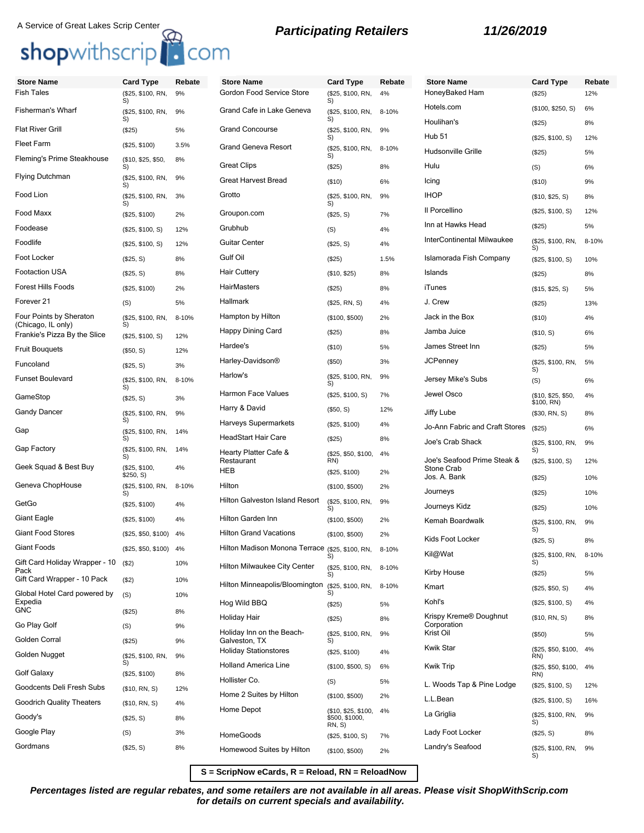# A Service of Great Lakes Scrip Center<br> **Shop**withscrip **C**OM **B Participating Retailers 11/26/2019**

| <b>Store Name</b>                                  | <b>Card Type</b>           | Rebate | <b>Store Name</b>                                | <b>Card Type</b>                                | Rebate | <b>Store Name</b>              | <b>Card Type</b>                 | Rebate    |
|----------------------------------------------------|----------------------------|--------|--------------------------------------------------|-------------------------------------------------|--------|--------------------------------|----------------------------------|-----------|
| <b>Fish Tales</b>                                  | (\$25, \$100, RN,<br>S)    | 9%     | Gordon Food Service Store                        | (\$25, \$100, RN,<br>S)                         | 4%     | HoneyBaked Ham                 | (\$25)                           | 12%       |
| Fisherman's Wharf                                  | (\$25, \$100, RN,<br>S)    | 9%     | Grand Cafe in Lake Geneva                        | (\$25, \$100, RN,<br>S)                         | 8-10%  | Hotels.com<br>Houlihan's       | (\$100, \$250, S)                | 6%        |
| Flat River Grill                                   | (\$25)                     | 5%     | <b>Grand Concourse</b>                           | (\$25, \$100, RN,                               | 9%     | Hub <sub>51</sub>              | (\$25)                           | 8%        |
| Fleet Farm                                         | (\$25, \$100)              | 3.5%   | <b>Grand Geneva Resort</b>                       | S)<br>(\$25, \$100, RN,                         | 8-10%  | Hudsonville Grille             | (\$25, \$100, S)                 | 12%<br>5% |
| Fleming's Prime Steakhouse                         | (\$10, \$25, \$50,<br>S)   | 8%     | <b>Great Clips</b>                               | S)<br>(\$25)                                    | 8%     | Hulu                           | (\$25)<br>(S)                    | 6%        |
| Flying Dutchman                                    | (\$25, \$100, RN,<br>S)    | 9%     | <b>Great Harvest Bread</b>                       | (\$10)                                          | 6%     | Icing                          | (\$10)                           | 9%        |
| Food Lion                                          | (\$25, \$100, RN,          | 3%     | Grotto                                           | (\$25, \$100, RN,                               | 9%     | <b>IHOP</b>                    | (\$10, \$25, S)                  | 8%        |
| Food Maxx                                          | S)<br>(\$25, \$100)        | 2%     | Groupon.com                                      | S)<br>(\$25, S)                                 | 7%     | Il Porcellino                  | (\$25, \$100, S)                 | 12%       |
| Foodease                                           | (\$25, \$100, S)           | 12%    | Grubhub                                          | (S)                                             | 4%     | Inn at Hawks Head              | (\$25)                           | 5%        |
| Foodlife                                           | (\$25, \$100, S)           | 12%    | <b>Guitar Center</b>                             | (\$25, S)                                       | 4%     | InterContinental Milwaukee     | (\$25, \$100, RN,<br>S)          | 8-10%     |
| Foot Locker                                        | (\$25, S)                  | 8%     | Gulf Oil                                         | (\$25)                                          | 1.5%   | Islamorada Fish Company        | (\$25, \$100, S)                 | 10%       |
| Footaction USA                                     | (\$25, S)                  | 8%     | <b>Hair Cuttery</b>                              | (\$10, \$25)                                    | 8%     | Islands                        | (\$25)                           | 8%        |
| Forest Hills Foods                                 | (\$25, \$100)              | 2%     | HairMasters                                      | (\$25)                                          | 8%     | iTunes                         | (\$15, \$25, S)                  | 5%        |
| Forever 21                                         | (S)                        | 5%     | Hallmark                                         | (\$25, RN, S)                                   | 4%     | J. Crew                        | (\$25)                           | 13%       |
| Four Points by Sheraton                            | (\$25, \$100, RN,<br>S)    | 8-10%  | Hampton by Hilton                                | (\$100, \$500)                                  | 2%     | Jack in the Box                | (\$10)                           | 4%        |
| (Chicago, IL only)<br>Frankie's Pizza By the Slice | (\$25, \$100, S)           | 12%    | Happy Dining Card                                | (\$25)                                          | 8%     | Jamba Juice                    | (\$10, S)                        | 6%        |
| Fruit Bouquets                                     | (\$50, S)                  | 12%    | Hardee's                                         | (\$10)                                          | 5%     | James Street Inn               | (\$25)                           | 5%        |
| Funcoland                                          | (\$25, S)                  | 3%     | Harley-Davidson®                                 | (\$50)                                          | 3%     | <b>JCPenney</b>                | (\$25, \$100, RN,<br>S)          | 5%        |
| <b>Funset Boulevard</b>                            | (\$25, \$100, RN,<br>S)    | 8-10%  | Harlow's                                         | (\$25, \$100, RN,<br>S)                         | 9%     | Jersey Mike's Subs             | (S)                              | 6%        |
| GameStop                                           | (\$25, S)                  | 3%     | <b>Harmon Face Values</b>                        | (\$25, \$100, S)                                | 7%     | Jewel Osco                     | (\$10, \$25, \$50,<br>\$100, RN) | 4%        |
| Gandy Dancer                                       | (\$25, \$100, RN,          | 9%     | Harry & David                                    | (\$50, S)                                       | 12%    | Jiffy Lube                     | (\$30, RN, S)                    | 8%        |
| Gap                                                | S)<br>(\$25, \$100, RN,    | 14%    | <b>Harveys Supermarkets</b>                      | (\$25, \$100)                                   | 4%     | Jo-Ann Fabric and Craft Stores | (\$25)                           | 6%        |
| Gap Factory                                        | S)                         |        | <b>HeadStart Hair Care</b>                       | (\$25)                                          | 8%     | Joe's Crab Shack               | (\$25, \$100, RN,                | 9%        |
|                                                    | (\$25, \$100, RN,<br>S)    | 14%    | Hearty Platter Cafe &<br>Restaurant              | (\$25, \$50, \$100,<br>RN)                      | 4%     | Joe's Seafood Prime Steak &    | S)<br>(\$25, \$100, S)           | 12%       |
| Geek Squad & Best Buy                              | (\$25, \$100,<br>\$250, S) | 4%     | <b>HEB</b>                                       | (\$25, \$100)                                   | 2%     | Stone Crab<br>Jos. A. Bank     | (\$25)                           | 10%       |
| Geneva ChopHouse                                   | (\$25, \$100, RN,<br>S)    | 8-10%  | Hilton                                           | (\$100, \$500)                                  | 2%     | Journeys                       | (\$25)                           | 10%       |
| GetGo                                              | (\$25, \$100)              | 4%     | Hilton Galveston Island Resort                   | (\$25, \$100, RN,<br>S)                         | 9%     | Journeys Kidz                  | (\$25)                           | 10%       |
| Giant Eagle                                        | (\$25, \$100)              | 4%     | Hilton Garden Inn                                | (\$100, \$500)                                  | 2%     | Kemah Boardwalk                | (\$25, \$100, RN,                | 9%        |
| <b>Giant Food Stores</b>                           | (\$25, \$50, \$100) 4%     |        | <b>Hilton Grand Vacations</b>                    | (\$100, \$500)                                  | 2%     | Kids Foot Locker               | S)<br>(\$25, S)                  | 8%        |
| Giant Foods                                        | (\$25, \$50, \$100) 4%     |        | Hilton Madison Monona Terrace (\$25, \$100, RN,  | S)                                              | 8-10%  | Kil@Wat                        | (\$25, \$100, RN,                | 8-10%     |
| Gift Card Holiday Wrapper - 10<br>Pack             | $($ \$2)                   | 10%    | Hilton Milwaukee City Center                     | (\$25, \$100, RN,<br>S)                         | 8-10%  | Kirby House                    | S)<br>(\$25)                     | 5%        |
| Gift Card Wrapper - 10 Pack                        | ( \$2)                     | 10%    | Hilton Minneapolis/Bloomington (\$25, \$100, RN, |                                                 | 8-10%  | Kmart                          | (\$25, \$50, S)                  | 4%        |
| Global Hotel Card powered by<br>Expedia            | (S)                        | 10%    | Hog Wild BBQ                                     | S)<br>(\$25)                                    | 5%     | Kohl's                         | (\$25, \$100, S)                 | 4%        |
| GNC.                                               | (\$25)                     | 8%     | Holiday Hair                                     | (\$25)                                          | 8%     | Krispy Kreme® Doughnut         | (\$10, RN, S)                    | 8%        |
| Go Play Golf                                       | (S)                        | 9%     | Holiday Inn on the Beach-                        | (\$25, \$100, RN,                               | 9%     | Corporation<br>Krist Oil       | (\$50)                           | 5%        |
| Golden Corral                                      | (\$25)                     | 9%     | Galveston, TX<br><b>Holiday Stationstores</b>    | S)                                              |        | <b>Kwik Star</b>               | (\$25, \$50, \$100,              | 4%        |
| Golden Nugget                                      | (\$25, \$100, RN,<br>S)    | 9%     | Holland America Line                             | (\$25, \$100)                                   | 4%     | <b>Kwik Trip</b>               | RN)                              |           |
| Golf Galaxy                                        | (\$25, \$100)              | 8%     | Hollister Co.                                    | (\$100, \$500, S)                               | 6%     |                                | (\$25, \$50, \$100,<br>RN)       | 4%        |
| Goodcents Deli Fresh Subs                          | (\$10, RN, S)              | 12%    | Home 2 Suites by Hilton                          | (S)                                             | 5%     | L. Woods Tap & Pine Lodge      | (\$25, \$100, S)                 | 12%       |
| Goodrich Quality Theaters                          | (\$10, RN, S)              | 4%     | Home Depot                                       | (\$100, \$500)                                  | 2%     | L.L.Bean                       | (\$25, \$100, S)                 | 16%       |
| Goody's                                            | (\$25, S)                  | 8%     |                                                  | (\$10, \$25, \$100,<br>\$500, \$1000,<br>RN, S) | 4%     | La Griglia                     | (\$25, \$100, RN,<br>S)          | 9%        |
| Google Play                                        | (S)                        | 3%     | HomeGoods                                        | (\$25, \$100, S)                                | 7%     | Lady Foot Locker               | (\$25, S)                        | 8%        |
| Gordmans                                           | (\$25, S)                  | 8%     | Homewood Suites by Hilton                        | (\$100, \$500)                                  | 2%     | Landry's Seafood               | (\$25, \$100, RN,<br>S)          | 9%        |

**S = ScripNow eCards, R = Reload, RN = ReloadNow**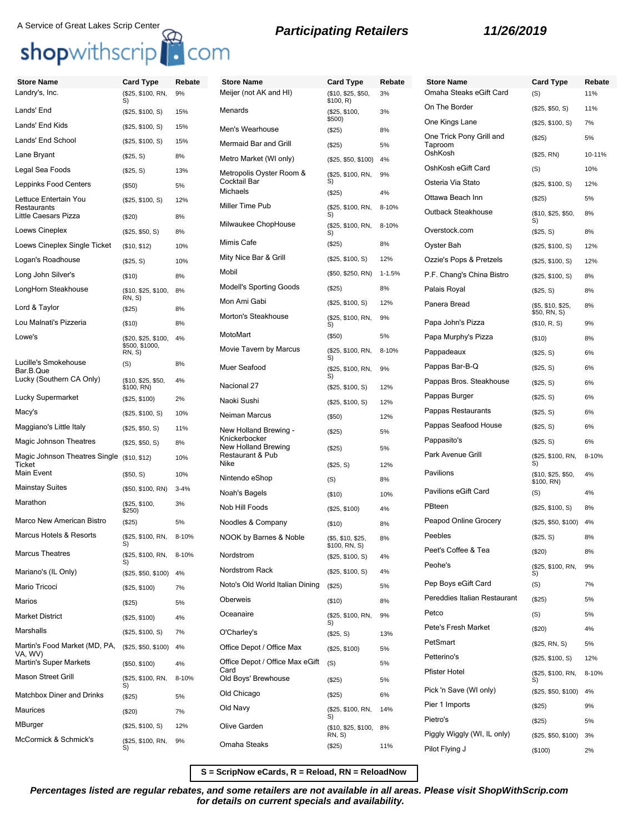## A Service of Great Lakes Scrip Center<br> **Participating Retailers 11/26/2019**

Lands' End (\$25, \$100, S) 15% Lands' End Kids (\$25, \$100, S) 15% Lands' End School (\$25, \$100, S) 15% Lane Bryant (\$25, S) 8% Legal Sea Foods (\$25, S) 13% Leppinks Food Centers (\$50) 5%

Little Caesars Pizza (\$20) 8% Loews Cineplex (\$25, \$50, S) 8% Loews Cineplex Single Ticket (\$10, \$12) 10% Logan's Roadhouse (\$25, S) 10% Long John Silver's (\$10) 8% LongHorn Steakhouse (\$10, \$25, \$100,

Lord & Taylor (\$25) 8% Lou Malnati's Pizzeria (\$10) 8% Lowe's (\$20, \$25, \$100,

Lucky (Southern CA Only) (\$10, \$25, \$50,

Lucky Supermarket (\$25, \$100) 2% Macy's (\$25, \$100, S) 10% Maggiano's Little Italy (\$25, \$50, S) 11% Magic Johnson Theatres (\$25, \$50, S) 8% Magic Johnson Theatres Single (\$10, \$12) 10%

Mainstay Suites (\$50, \$100, RN) 3-4%

Marco New American Bistro (\$25) 5% Marcus Hotels & Resorts (\$25, \$100, RN,

Mariano's (IL Only) (\$25, \$50, \$100) 4% Mario Tricoci (\$25, \$100) 7% Marios (\$25) 5% Market District (\$25, \$100) 4% Marshalls (\$25, \$100, S) 7%

Martin's Super Markets (\$50, \$100) 4% Mason Street Grill (\$25, \$100, RN,

Matchbox Diner and Drinks (\$25) 5% Maurices (\$20) 7% MBurger (\$25, \$100, S) 12% McCormick & Schmick's (\$25, \$100, RN,

Marcus Theatres (\$25, \$100, RN,

Martin's Food Market (MD, PA,

VA, WV)

Marathon (\$25, \$100,

Lettuce Entertain You Restaurants

Lucille's Smokehouse Bar.B.Que

Ticket<br>Main Fvent

## shopwithscrip<sup>1</sup> com

(\$25, \$100, S) 12%

8%

4%

4%

3%

8-10%

8-10%

8-10%

9%

RN, S)

\$500, \$1000, RN, S)

\$100, RN)

 $$250)$ 

S)

S)

S)

S)

 $( S)$  8%

 $($50, S)$  10%

(\$25, \$50, \$100) 4%

## **Store Name Card Type Rebate** Landry's, Inc. (\$25, \$100, RN, S) 9%

## **Store Name Card Type Re** Meijer (not AK and HI) (\$10, \$25, \$50, \$100, R) 3% Menards (\$25, \$100,  $$500$ 3% Men's Wearhouse (\$25) 8% Mermaid Bar and Grill (\$25) 5% Metro Market (WI only) (\$25, \$50, \$100) 4% Metropolis Oyster Room & (\$25, \$100, RN, S) 9% Michaels (\$25) 4% Miller Time Pub (\$25, \$100, RN, S)  $8 - 1$ Milwaukee ChopHouse (\$25, \$100, RN, S)  $8 - 10$ Mimis Cafe (\$25) 8%

| <b>Store Name</b>                    | Card Type                         | Rebate     | <b>Store Name</b>                   | <b>Card Type</b>                 | Rebate |
|--------------------------------------|-----------------------------------|------------|-------------------------------------|----------------------------------|--------|
| Meijer (not AK and HI)               | (\$10, \$25, \$50,<br>\$100, R)   | 3%         | Omaha Steaks eGift Card             | (S)                              | 11%    |
| Menards                              | (\$25, \$100,                     | 3%         | On The Border                       | (\$25, \$50, S)                  | 11%    |
| Men's Wearhouse                      | \$500)<br>(\$25)                  | 8%         | One Kings Lane                      | (\$25, \$100, S)                 | 7%     |
| Mermaid Bar and Grill                | (\$25)                            | 5%         | One Trick Pony Grill and<br>Taproom | (\$25)                           | 5%     |
| Metro Market (WI only)               | (\$25, \$50, \$100)               | 4%         | OshKosh                             | (\$25, RN)                       | 10-11% |
| Metropolis Oyster Room &             | (\$25, \$100, RN,                 | 9%         | OshKosh eGift Card                  | (S)                              | 10%    |
| Cocktail Bar<br>Michaels             | S)<br>(\$25)                      | 4%         | Osteria Via Stato                   | (\$25, \$100, S)                 | 12%    |
| Miller Time Pub                      | (\$25, \$100, RN,                 | 8-10%      | Ottawa Beach Inn                    | (\$25)                           | 5%     |
|                                      | S)                                |            | Outback Steakhouse                  | (\$10, \$25, \$50,<br>S)         | 8%     |
| Milwaukee ChopHouse                  | (\$25, \$100, RN,<br>S)           | 8-10%      | Overstock.com                       | (\$25, S)                        | 8%     |
| Mimis Cafe                           | (\$25)                            | 8%         | Oyster Bah                          | (\$25, \$100, S)                 | 12%    |
| Mity Nice Bar & Grill                | (\$25, \$100, S)                  | 12%        | Ozzie's Pops & Pretzels             | (\$25, \$100, S)                 | 12%    |
| Mobil                                | (\$50, \$250, RN)                 | $1 - 1.5%$ | P.F. Chang's China Bistro           | (\$25, \$100, S)                 | 8%     |
| <b>Modell's Sporting Goods</b>       | (\$25)                            | 8%         | Palais Royal                        | (\$25, S)                        | 8%     |
| Mon Ami Gabi                         | (\$25, \$100, S)                  | 12%        | Panera Bread                        | (\$5, \$10, \$25,                | 8%     |
| Morton's Steakhouse                  | (\$25, \$100, RN,<br>S)           | 9%         | Papa John's Pizza                   | \$50, RN, S)<br>(\$10, R, S)     | 9%     |
| MotoMart                             | (\$50)                            | 5%         | Papa Murphy's Pizza                 | $($ \$10)                        | 8%     |
| Movie Tavern by Marcus               | (\$25, \$100, RN,<br>S)           | 8-10%      | Pappadeaux                          | (\$25, S)                        | 6%     |
| Muer Seafood                         | (\$25, \$100, RN,                 | 9%         | Pappas Bar-B-Q                      | (\$25, S)                        | 6%     |
| Nacional 27                          | S)<br>(\$25, \$100, S)            | 12%        | Pappas Bros. Steakhouse             | (\$25, S)                        | 6%     |
| Naoki Sushi                          | (\$25, \$100, S)                  | 12%        | Pappas Burger                       | (\$25, S)                        | 6%     |
| Neiman Marcus                        | (\$50)                            | 12%        | Pappas Restaurants                  | (\$25, S)                        | 6%     |
| New Holland Brewing -                | (\$25)                            | 5%         | Pappas Seafood House                | (\$25, S)                        | 6%     |
| Knickerbocker<br>New Holland Brewing | (\$25)                            | 5%         | Pappasito's                         | (\$25, S)                        | 6%     |
| Restaurant & Pub<br>Nike             | (\$25, S)                         | 12%        | Park Avenue Grill                   | (\$25, \$100, RN,<br>S)          | 8-10%  |
| Nintendo eShop                       | (S)                               | 8%         | Pavilions                           | (\$10, \$25, \$50,<br>\$100, RN) | 4%     |
| Noah's Bagels                        | (\$10)                            | 10%        | Pavilions eGift Card                | (S)                              | 4%     |
| Nob Hill Foods                       | (\$25, \$100)                     | 4%         | PBteen                              | (\$25, \$100, S)                 | 8%     |
| Noodles & Company                    | (\$10)                            | 8%         | Peapod Online Grocery               | (\$25, \$50, \$100)              | 4%     |
| NOOK by Barnes & Noble               | (\$5, \$10, \$25,                 | 8%         | Peebles                             | (\$25, S)                        | 8%     |
| Nordstrom                            | \$100, RN, S)<br>(\$25, \$100, S) | 4%         | Peet's Coffee & Tea                 | $(\$20)$                         | 8%     |
| Nordstrom Rack                       | (\$25, \$100, S)                  | 4%         | Peohe's                             | (\$25, \$100, RN,<br>S)          | 9%     |
| Noto's Old World Italian Dining      | (\$25)                            | 5%         | Pep Boys eGift Card                 | (S)                              | 7%     |
| Oberweis                             | (\$10)                            | 8%         | Pereddies Italian Restaurant        | (\$25)                           | 5%     |
| Oceanaire                            | (\$25, \$100, RN,                 | 9%         | Petco                               | (S)                              | 5%     |
| O'Charley's                          | S)<br>(\$25, S)                   | 13%        | Pete's Fresh Market                 | $(\$20)$                         | 4%     |
| Office Depot / Office Max            | (\$25, \$100)                     | 5%         | PetSmart                            | (\$25, RN, S)                    | 5%     |
| Office Depot / Office Max eGift      | (S)                               | 5%         | Petterino's                         | (\$25, \$100, S)                 | 12%    |
| Card<br>Old Boys' Brewhouse          | (\$25)                            | 5%         | Pfister Hotel                       | (\$25, \$100, RN,<br>S)          | 8-10%  |
| Old Chicago                          | (\$25)                            | 6%         | Pick 'n Save (WI only)              | (\$25, \$50, \$100)              | 4%     |
| Old Navy                             | (\$25, \$100, RN,                 | 14%        | Pier 1 Imports                      | (\$25)                           | 9%     |
| Olive Garden                         | (\$10, \$25, \$100,               | 8%         | Pietro's                            | (\$25)                           | 5%     |
|                                      | RN, S)                            |            | Piggly Wiggly (WI, IL only)         | (\$25, \$50, \$100)              | 3%     |
| Omaha Steaks                         | (\$25)                            | 11%        | Pilot Flying J                      | (\$100)                          | 2%     |

**S = ScripNow eCards, R = Reload, RN = ReloadNow**

**Percentages listed are regular rebates, and some retailers are not available in all areas. Please visit ShopWithScrip.com for details on current specials and availability.**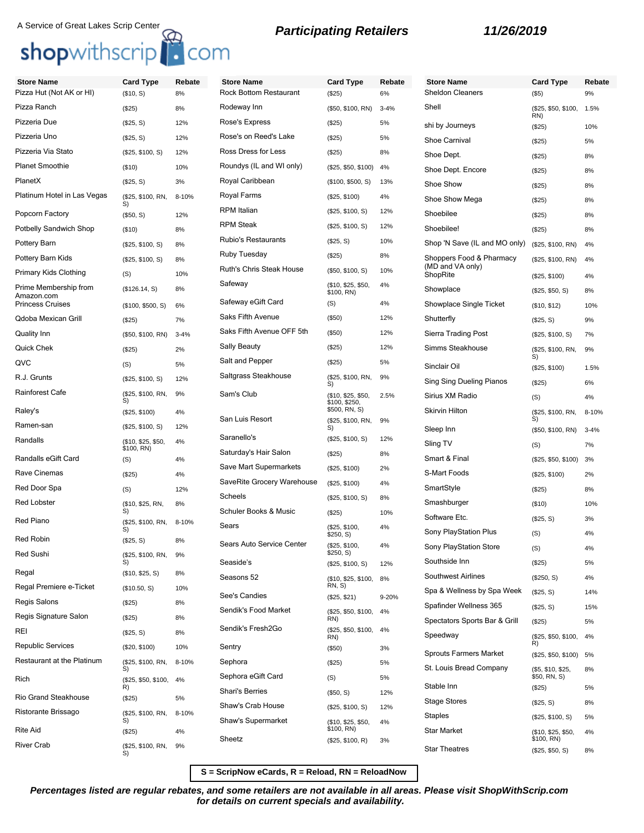# A Service of Great Lakes Scrip Center<br> **Shop**withscrip **C**OM **B Participating Retailers 11/26/2019**

| <b>Store Name</b>                     | <b>Card Type</b>                 | Rebate   | <b>Store Name</b>             | <b>Card Type</b>                    | Rebate   | <b>Store Name</b>        |
|---------------------------------------|----------------------------------|----------|-------------------------------|-------------------------------------|----------|--------------------------|
| Pizza Hut (Not AK or HI)              | (\$10, S)                        | 8%       | <b>Rock Bottom Restaurant</b> | (\$25)                              | 6%       | Sheldon Clea             |
| Pizza Ranch                           | (\$25)                           | 8%       | Rodeway Inn                   | (\$50, \$100, RN)                   | $3 - 4%$ | Shell                    |
| Pizzeria Due                          | (\$25, S)                        | 12%      | Rose's Express                | (\$25)                              | 5%       | shi by Journe            |
| Pizzeria Uno                          | (\$25, S)                        | 12%      | Rose's on Reed's Lake         | (\$25)                              | 5%       | Shoe Carniva             |
| Pizzeria Via Stato                    | (\$25, \$100, S)                 | 12%      | Ross Dress for Less           | (\$25)                              | 8%       | Shoe Dept.               |
| <b>Planet Smoothie</b>                | (\$10)                           | 10%      | Roundys (IL and WI only)      | (\$25, \$50, \$100)                 | 4%       | Shoe Dept. E             |
| PlanetX                               | (\$25, S)                        | 3%       | Royal Caribbean               | (\$100, \$500, S)                   | 13%      | Shoe Show                |
| Platinum Hotel in Las Vegas           | (\$25, \$100, RN,                | 8-10%    | Royal Farms                   | (\$25, \$100)                       | 4%       | Shoe Show M              |
| Popcorn Factory                       | S)<br>(\$50, S)                  | 12%      | <b>RPM</b> Italian            | (\$25, \$100, S)                    | 12%      | Shoebilee                |
| Potbelly Sandwich Shop                | (\$10)                           | 8%       | <b>RPM Steak</b>              | (\$25, \$100, S)                    | 12%      | Shoebilee!               |
| Pottery Barn                          | (\$25, \$100, S)                 | 8%       | <b>Rubio's Restaurants</b>    | (\$25, S)                           | 10%      | Shop 'N Save             |
| Pottery Barn Kids                     | (\$25, \$100, S)                 | 8%       | Ruby Tuesday                  | (\$25)                              | 8%       | Shoppers For             |
| Primary Kids Clothing                 | (S)                              | 10%      | Ruth's Chris Steak House      | (\$50, \$100, S)                    | 10%      | (MD and VA o<br>ShopRite |
| Prime Membership from                 | (\$126.14, S)                    | 8%       | Safeway                       | (\$10, \$25, \$50,                  | 4%       | Showplace                |
| Amazon.com<br><b>Princess Cruises</b> |                                  |          | Safeway eGift Card            | \$100, RN)<br>(S)                   | 4%       | Showplace Si             |
| Qdoba Mexican Grill                   | (\$100, \$500, S)                | 6%       | Saks Fifth Avenue             | (\$50)                              | 12%      | Shutterfly               |
|                                       | (\$25)                           | 7%       | Saks Fifth Avenue OFF 5th     | (\$50)                              | 12%      | Sierra Trading           |
| Quality Inn                           | (\$50, \$100, RN)                | $3 - 4%$ | Sally Beauty                  | (\$25)                              | 12%      |                          |
| <b>Quick Chek</b>                     | (\$25)                           | 2%       | Salt and Pepper               |                                     | 5%       | <b>Simms Steak</b>       |
| QVC                                   | (S)                              | 5%       | Saltgrass Steakhouse          | (\$25)                              |          | Sinclair Oil             |
| R.J. Grunts                           | (\$25, \$100, S)                 | 12%      |                               | (\$25, \$100, RN,<br>S)             | 9%       | Sing Sing Du             |
| <b>Rainforest Cafe</b>                | (\$25, \$100, RN,<br>S)          | 9%       | Sam's Club                    | (\$10, \$25, \$50,<br>\$100, \$250, | 2.5%     | Sirius XM Ra             |
| Raley's                               | (\$25, \$100)                    | 4%       | San Luis Resort               | \$500, RN, S)                       |          | Skirvin Hilton           |
| Ramen-san                             | (\$25, \$100, S)                 | 12%      |                               | (\$25, \$100, RN,<br>S)             | 9%       | Sleep Inn                |
| Randalls                              | (\$10, \$25, \$50,<br>\$100, RN) | 4%       | Saranello's                   | (\$25, \$100, S)                    | 12%      | Sling TV                 |
| Randalls eGift Card                   | (S)                              | 4%       | Saturday's Hair Salon         | (\$25)                              | 8%       | Smart & Final            |
| Rave Cinemas                          | (\$25)                           | 4%       | Save Mart Supermarkets        | (\$25, \$100)                       | 2%       | S-Mart Foods             |
| Red Door Spa                          | (S)                              | 12%      | SaveRite Grocery Warehouse    | (\$25, \$100)                       | 4%       | SmartStyle               |
| <b>Red Lobster</b>                    | (\$10, \$25, RN,                 | 8%       | Scheels                       | (\$25, \$100, S)                    | 8%       | Smashburger              |
| <b>Red Piano</b>                      | S)                               |          | Schuler Books & Music         | (\$25)                              | 10%      | Software Etc.            |
|                                       | (\$25, \$100, RN,<br>S)          | 8-10%    | Sears                         | (\$25, \$100,<br>\$250, S)          | 4%       | Sony PlaySta             |
| <b>Red Robin</b>                      | (\$25, S)                        | 8%       | Sears Auto Service Center     | (\$25, \$100,                       | 4%       | Sony PlaySta             |
| Red Sushi                             | (\$25, \$100, RN,                | 9%       | Seaside's                     | \$250, S)<br>(\$25, \$100, S)       | 12%      | Southside Inr            |
| Regal                                 | (\$10, \$25, S)                  | 8%       | Seasons 52                    | (\$10, \$25, \$100,                 | 8%       | Southwest Air            |
| Regal Premiere e-Ticket               | (\$10.50, S)                     | 10%      |                               | RN, S)                              |          | Spa & Wellne             |
| <b>Regis Salons</b>                   | (\$25)                           | 8%       | See's Candies                 | (\$25, \$21)                        | 9-20%    | Spafinder We             |
| Regis Signature Salon                 | (\$25)                           | 8%       | Sendik's Food Market          | (\$25, \$50, \$100,<br>RN)          | 4%       | Spectators Sp            |
| REI                                   | (\$25, S)                        | 8%       | Sendik's Fresh2Go             | (\$25, \$50, \$100,                 | 4%       | Speedway                 |
| <b>Republic Services</b>              | (\$20, \$100)                    | 10%      | Sentry                        | RN)<br>(\$50)                       | 3%       |                          |
| Restaurant at the Platinum            | (\$25, \$100, RN,                | 8-10%    | Sephora                       | (\$25)                              | 5%       | Sprouts Farm             |
| Rich                                  | S)<br>(\$25, \$50, \$100,        | 4%       | Sephora eGift Card            | (S)                                 | 5%       | St. Louis Brea           |
|                                       | R)                               |          | <b>Shari's Berries</b>        | (\$50, S)                           | 12%      | Stable Inn               |
| Rio Grand Steakhouse                  | (\$25)                           | 5%       | Shaw's Crab House             | (\$25, \$100, S)                    | 12%      | <b>Stage Stores</b>      |
| Ristorante Brissago                   | (\$25, \$100, RN,<br>S)          | 8-10%    | Shaw's Supermarket            | (\$10, \$25, \$50,                  | 4%       | <b>Staples</b>           |
| <b>Rite Aid</b>                       | (\$25)                           | 4%       |                               | \$100, RN)                          |          | Star Market              |
| <b>River Crab</b>                     | (\$25, \$100, RN,                | 9%       | Sheetz                        | (\$25, \$100, R)                    | 3%       | <b>Star Theatres</b>     |
|                                       |                                  |          |                               |                                     |          |                          |

| <b>Store Name</b>                            |                                   |              |
|----------------------------------------------|-----------------------------------|--------------|
| Sheldon Cleaners                             | <b>Card Type</b><br>$($ \$5)      | Rebate<br>9% |
| Shell                                        | (\$25, \$50, \$100,<br>RN)        | 1.5%         |
| shi by Journeys                              | (\$25)                            | 10%          |
| <b>Shoe Carnival</b>                         | (\$25)                            | 5%           |
| Shoe Dept.                                   | (\$25)                            | 8%           |
| Shoe Dept. Encore                            | (\$25)                            | 8%           |
| Shoe Show                                    | (\$25)                            | 8%           |
| Shoe Show Mega                               | (\$25)                            | 8%           |
| Shoebilee                                    | (\$25)                            | 8%           |
| Shoebilee!                                   | (\$25)                            | 8%           |
| Shop 'N Save (IL and MO only)                | (\$25, \$100, RN)                 | 4%           |
| Shoppers Food & Pharmacy<br>(MD and VA only) | (\$25, \$100, RN)                 | 4%           |
| ShopRite                                     | (\$25, \$100)                     | 4%           |
| Showplace                                    | (\$25, \$50, S)                   | 8%           |
| Showplace Single Ticket                      | (\$10, \$12)                      | 10%          |
| Shutterfly                                   | (\$25, S)                         | 9%           |
| Sierra Trading Post                          | (\$25, \$100, S)                  | 7%           |
| Simms Steakhouse                             | (\$25, \$100, RN,<br>S)           | 9%           |
| Sinclair Oil                                 | (\$25, \$100)                     | 1.5%         |
| Sing Sing Dueling Pianos                     | (\$25)                            | 6%           |
| Sirius XM Radio                              | (S)                               | 4%           |
| Skirvin Hilton                               | (\$25, \$100, RN,<br>S)           | 8-10%        |
| Sleep Inn                                    | (\$50, \$100, RN)                 | $3 - 4%$     |
| Sling TV                                     | (S)                               | 7%           |
| Smart & Final                                | (\$25, \$50, \$100)               | 3%           |
| S-Mart Foods                                 | (\$25, \$100)                     | 2%           |
| SmartStyle                                   | (\$25)                            | 8%           |
| Smashburger                                  | $($ \$10)                         | 10%          |
| Software Etc.                                | (\$25, S)                         | 3%           |
| Sony PlayStation Plus                        | (S)                               | 4%           |
| Sony PlayStation Store                       | (S)                               | 4%           |
| Southside Inn                                | (\$25)                            | 5%           |
| Southwest Airlines                           | $(\$250, S)$                      | 4%           |
| Spa & Wellness by Spa Week                   | (\$25, S)                         | 14%          |
| Spafinder Wellness 365                       | (\$25, S)                         | 15%          |
| Spectators Sports Bar & Grill                | (\$25)                            | 5%           |
| Speedway                                     | (\$25, \$50, \$100,<br>R)         | 4%           |
| Sprouts Farmers Market                       | (\$25, \$50, \$100)               | 5%           |
| St. Louis Bread Company                      | (\$5, \$10, \$25,<br>\$50, RN, S) | 8%           |
| Stable Inn                                   | (\$25)                            | 5%           |
| Stage Stores                                 | $(\$25, S)$                       | 8%           |
| Staples                                      | (\$25, \$100, S)                  | 5%           |
| Star Market                                  | (\$10, \$25, \$50,<br>\$100, RN)  | 4%           |
| <b>Star Theatres</b>                         | (\$25, \$50, S)                   | 8%           |

**S = ScripNow eCards, R = Reload, RN = ReloadNow**